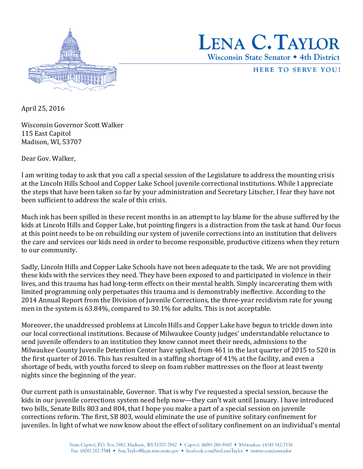



HERE TO SERVE YOU!

April 25, 2016

Wisconsin Governor Scott Walker 115 East Capitol Madison, WI, 53707

Dear Gov. Walker,

I am writing today to ask that you call a special session of the Legislature to address the mounting crisis at the Lincoln Hills School and Copper Lake School juvenile correctional institutions. While I appreciate the steps that have been taken so far by your administration and Secretary Litscher, I fear they have not been sufficient to address the scale of this crisis.

Much ink has been spilled in these recent months in an attempt to lay blame for the abuse suffered by the kids at Lincoln Hills and Copper Lake, but pointing fingers is a distraction from the task at hand. Our focus at this point needs to be on rebuilding our system of juvenile corrections into an institution that delivers the care and services our kids need in order to become responsible, productive citizens when they return to our community.

Sadly, Lincoln Hills and Copper Lake Schools have not been adequate to the task. We are not providing these kids with the services they need. They have been exposed to and participated in violence in their lives, and this trauma has had long-term effects on their mental health. Simply incarcerating them with limited programming only perpetuates this trauma and is demonstrably ineffective. According to the 2014 Annual Report from the Division of Juvenile Corrections, the three-year recidivism rate for young men in the system is 63.84%, compared to 30.1% for adults. This is not acceptable.

Moreover, the unaddressed problems at Lincoln Hills and Copper Lake have begun to trickle down into our local correctional institutions. Because of Milwaukee County judges' understandable reluctance to send juvenile offenders to an institution they know cannot meet their needs, admissions to the Milwaukee County Juvenile Detention Center have spiked, from 461 in the last quarter of 2015 to 520 in the first quarter of 2016. This has resulted in a staffing shortage of 41% at the facility, and even a shortage of beds, with youths forced to sleep on foam rubber mattresses on the floor at least twenty nights since the beginning of the year.

Our current path is unsustainable, Governor. That is why I've requested a special session, because the kids in our juvenile corrections system need help now—they can't wait until January. I have introduced two bills, Senate Bills 803 and 804, that I hope you make a part of a special session on juvenile corrections reform. The first, SB 803, would eliminate the use of punitive solitary confinement for juveniles. In light of what we now know about the effect of solitary confinement on an individual's mental